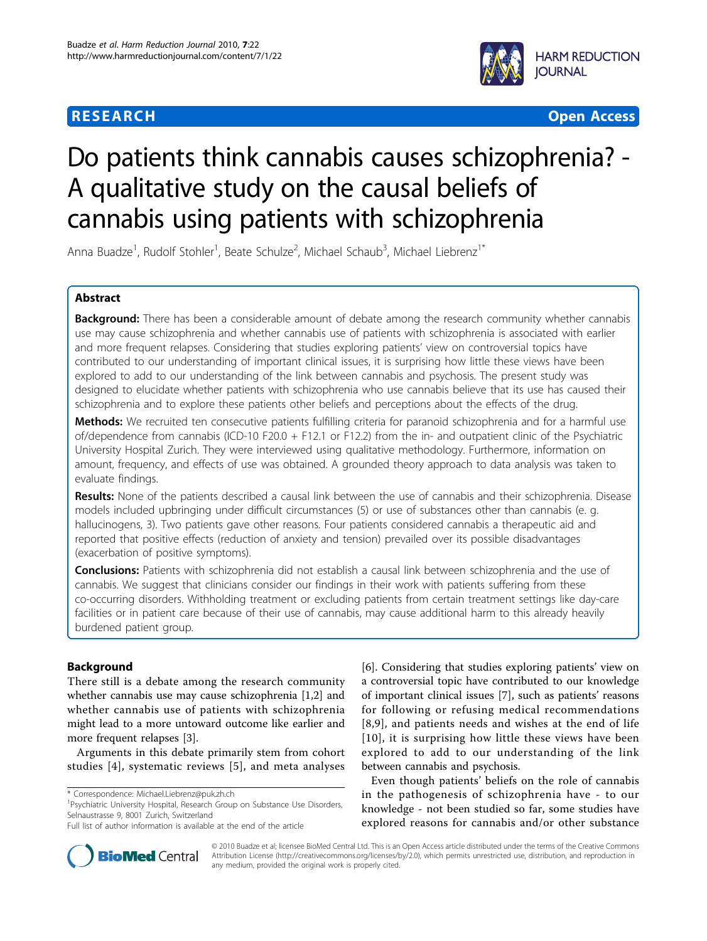

**RESEARCH CONTROL** CONTROL CONTROL CONTROL CONTROL CONTROL CONTROL CONTROL CONTROL CONTROL CONTROL CONTROL CONTROL

# Do patients think cannabis causes schizophrenia? - A qualitative study on the causal beliefs of cannabis using patients with schizophrenia

Anna Buadze<sup>1</sup>, Rudolf Stohler<sup>1</sup>, Beate Schulze<sup>2</sup>, Michael Schaub<sup>3</sup>, Michael Liebrenz<sup>1\*</sup>

# Abstract

**Background:** There has been a considerable amount of debate among the research community whether cannabis use may cause schizophrenia and whether cannabis use of patients with schizophrenia is associated with earlier and more frequent relapses. Considering that studies exploring patients' view on controversial topics have contributed to our understanding of important clinical issues, it is surprising how little these views have been explored to add to our understanding of the link between cannabis and psychosis. The present study was designed to elucidate whether patients with schizophrenia who use cannabis believe that its use has caused their schizophrenia and to explore these patients other beliefs and perceptions about the effects of the drug.

Methods: We recruited ten consecutive patients fulfilling criteria for paranoid schizophrenia and for a harmful use of/dependence from cannabis (ICD-10 F20.0 + F12.1 or F12.2) from the in- and outpatient clinic of the Psychiatric University Hospital Zurich. They were interviewed using qualitative methodology. Furthermore, information on amount, frequency, and effects of use was obtained. A grounded theory approach to data analysis was taken to evaluate findings.

Results: None of the patients described a causal link between the use of cannabis and their schizophrenia. Disease models included upbringing under difficult circumstances (5) or use of substances other than cannabis (e. g. hallucinogens, 3). Two patients gave other reasons. Four patients considered cannabis a therapeutic aid and reported that positive effects (reduction of anxiety and tension) prevailed over its possible disadvantages (exacerbation of positive symptoms).

**Conclusions:** Patients with schizophrenia did not establish a causal link between schizophrenia and the use of cannabis. We suggest that clinicians consider our findings in their work with patients suffering from these co-occurring disorders. Withholding treatment or excluding patients from certain treatment settings like day-care facilities or in patient care because of their use of cannabis, may cause additional harm to this already heavily burdened patient group.

# Background

There still is a debate among the research community whether cannabis use may cause schizophrenia [\[1,2](#page-6-0)] and whether cannabis use of patients with schizophrenia might lead to a more untoward outcome like earlier and more frequent relapses [\[3](#page-6-0)].

Arguments in this debate primarily stem from cohort studies [[4](#page-7-0)], systematic reviews [\[5\]](#page-7-0), and meta analyses

<sup>1</sup> Psychiatric University Hospital, Research Group on Substance Use Disorders, Selnaustrasse 9, 8001 Zurich, Switzerland

[[6\]](#page-7-0). Considering that studies exploring patients' view on a controversial topic have contributed to our knowledge of important clinical issues [[7\]](#page-7-0), such as patients' reasons for following or refusing medical recommendations [[8](#page-7-0),[9\]](#page-7-0), and patients needs and wishes at the end of life [[10\]](#page-7-0), it is surprising how little these views have been explored to add to our understanding of the link between cannabis and psychosis.

Even though patients' beliefs on the role of cannabis in the pathogenesis of schizophrenia have - to our knowledge - not been studied so far, some studies have explored reasons for cannabis and/or other substance



© 2010 Buadze et al; licensee BioMed Central Ltd. This is an Open Access article distributed under the terms of the Creative Commons Attribution License [\(http://creativecommons.org/licenses/by/2.0](http://creativecommons.org/licenses/by/2.0)), which permits unrestricted use, distribution, and reproduction in any medium, provided the original work is properly cited.

<sup>\*</sup> Correspondence: [Michael.Liebrenz@puk.zh.ch](mailto:Michael.Liebrenz@puk.zh.ch)

Full list of author information is available at the end of the article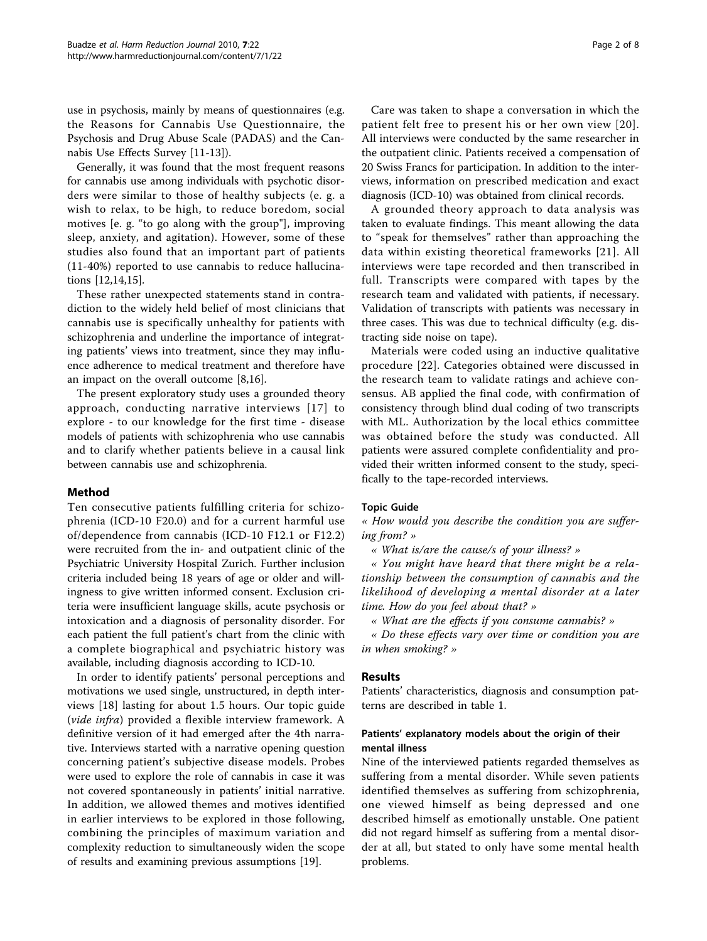use in psychosis, mainly by means of questionnaires (e.g. the Reasons for Cannabis Use Questionnaire, the Psychosis and Drug Abuse Scale (PADAS) and the Cannabis Use Effects Survey [\[11](#page-7-0)-[13](#page-7-0)]).

Generally, it was found that the most frequent reasons for cannabis use among individuals with psychotic disorders were similar to those of healthy subjects (e. g. a wish to relax, to be high, to reduce boredom, social motives [e. g. "to go along with the group"], improving sleep, anxiety, and agitation). However, some of these studies also found that an important part of patients (11-40%) reported to use cannabis to reduce hallucinations [\[12,14,15\]](#page-7-0).

These rather unexpected statements stand in contradiction to the widely held belief of most clinicians that cannabis use is specifically unhealthy for patients with schizophrenia and underline the importance of integrating patients' views into treatment, since they may influence adherence to medical treatment and therefore have an impact on the overall outcome [[8,16\]](#page-7-0).

The present exploratory study uses a grounded theory approach, conducting narrative interviews [[17\]](#page-7-0) to explore - to our knowledge for the first time - disease models of patients with schizophrenia who use cannabis and to clarify whether patients believe in a causal link between cannabis use and schizophrenia.

# Method

Ten consecutive patients fulfilling criteria for schizophrenia (ICD-10 F20.0) and for a current harmful use of/dependence from cannabis (ICD-10 F12.1 or F12.2) were recruited from the in- and outpatient clinic of the Psychiatric University Hospital Zurich. Further inclusion criteria included being 18 years of age or older and willingness to give written informed consent. Exclusion criteria were insufficient language skills, acute psychosis or intoxication and a diagnosis of personality disorder. For each patient the full patient's chart from the clinic with a complete biographical and psychiatric history was available, including diagnosis according to ICD-10.

In order to identify patients' personal perceptions and motivations we used single, unstructured, in depth interviews [\[18](#page-7-0)] lasting for about 1.5 hours. Our topic guide (vide infra) provided a flexible interview framework. A definitive version of it had emerged after the 4th narrative. Interviews started with a narrative opening question concerning patient's subjective disease models. Probes were used to explore the role of cannabis in case it was not covered spontaneously in patients' initial narrative. In addition, we allowed themes and motives identified in earlier interviews to be explored in those following, combining the principles of maximum variation and complexity reduction to simultaneously widen the scope of results and examining previous assumptions [[19\]](#page-7-0).

Care was taken to shape a conversation in which the patient felt free to present his or her own view [[20\]](#page-7-0). All interviews were conducted by the same researcher in the outpatient clinic. Patients received a compensation of 20 Swiss Francs for participation. In addition to the interviews, information on prescribed medication and exact diagnosis (ICD-10) was obtained from clinical records.

A grounded theory approach to data analysis was taken to evaluate findings. This meant allowing the data to "speak for themselves" rather than approaching the data within existing theoretical frameworks [[21](#page-7-0)]. All interviews were tape recorded and then transcribed in full. Transcripts were compared with tapes by the research team and validated with patients, if necessary. Validation of transcripts with patients was necessary in three cases. This was due to technical difficulty (e.g. distracting side noise on tape).

Materials were coded using an inductive qualitative procedure [[22](#page-7-0)]. Categories obtained were discussed in the research team to validate ratings and achieve consensus. AB applied the final code, with confirmation of consistency through blind dual coding of two transcripts with ML. Authorization by the local ethics committee was obtained before the study was conducted. All patients were assured complete confidentiality and provided their written informed consent to the study, specifically to the tape-recorded interviews.

#### Topic Guide

« How would you describe the condition you are suffering from? »

« What is/are the cause/s of your illness? »

« You might have heard that there might be a relationship between the consumption of cannabis and the likelihood of developing a mental disorder at a later time. How do you feel about that? »

« What are the effects if you consume cannabis? »

« Do these effects vary over time or condition you are in when smoking? »

#### Results

Patients' characteristics, diagnosis and consumption patterns are described in table [1.](#page-2-0)

### Patients' explanatory models about the origin of their mental illness

Nine of the interviewed patients regarded themselves as suffering from a mental disorder. While seven patients identified themselves as suffering from schizophrenia, one viewed himself as being depressed and one described himself as emotionally unstable. One patient did not regard himself as suffering from a mental disorder at all, but stated to only have some mental health problems.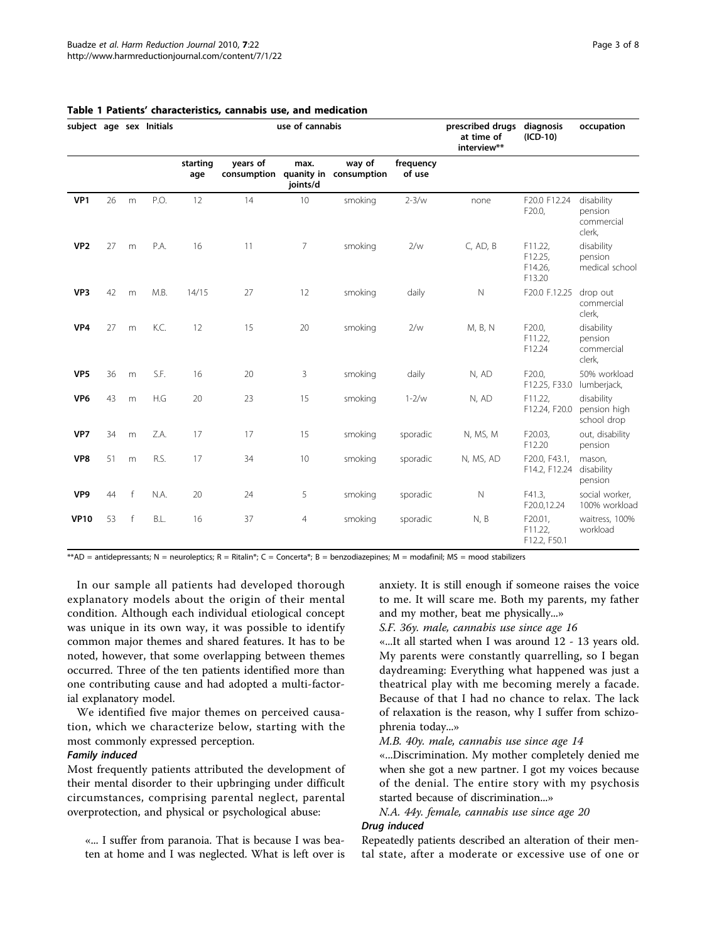| subject age sex Initials |    |              |      | use of cannabis |                         |                  |                                  |                     | prescribed drugs<br>at time of<br>interview** | diagnosis<br>$(ICD-10)$                 | occupation                                    |
|--------------------------|----|--------------|------|-----------------|-------------------------|------------------|----------------------------------|---------------------|-----------------------------------------------|-----------------------------------------|-----------------------------------------------|
|                          |    |              |      | starting<br>age | years of<br>consumption | max.<br>joints/d | way of<br>quanity in consumption | frequency<br>of use |                                               |                                         |                                               |
| VP1                      | 26 | m            | P.O. | 12              | 14                      | 10               | smoking                          | $2-3/w$             | none                                          | F20.0 F12.24<br>F20.0,                  | disability<br>pension<br>commercial<br>clerk, |
| VP <sub>2</sub>          | 27 | m            | P.A. | 16              | 11                      | $\overline{7}$   | smoking                          | 2/w                 | C, AD, B                                      | F11.22,<br>F12.25,<br>F14.26,<br>F13.20 | disability<br>pension<br>medical school       |
| VP3                      | 42 | m            | M.B. | 14/15           | 27                      | 12               | smoking                          | daily               | N                                             | F20.0 F.12.25                           | drop out<br>commercial<br>clerk,              |
| VP4                      | 27 | m            | K.C. | 12              | 15                      | 20               | smoking                          | 2/w                 | M, B, N                                       | F20.0,<br>F11.22,<br>F12.24             | disability<br>pension<br>commercial<br>clerk, |
| VP <sub>5</sub>          | 36 | m            | S.F. | 16              | 20                      | 3                | smoking                          | daily               | N, AD                                         | F20.0,<br>F12.25, F33.0                 | 50% workload<br>lumberjack,                   |
| VP <sub>6</sub>          | 43 | m            | H.G  | 20              | 23                      | 15               | smoking                          | $1-2/w$             | N, AD                                         | F11.22,<br>F12.24, F20.0                | disability<br>pension high<br>school drop     |
| VP7                      | 34 | m            | Z.A. | 17              | 17                      | 15               | smoking                          | sporadic            | N, MS, M                                      | F20.03,<br>F12.20                       | out, disability<br>pension                    |
| VP8                      | 51 | m            | R.S. | 17              | 34                      | 10               | smoking                          | sporadic            | N, MS, AD                                     | F20.0, F43.1,<br>F14.2, F12.24          | mason,<br>disability<br>pension               |
| VP9                      | 44 | $\mathsf{f}$ | N.A. | 20              | 24                      | 5                | smoking                          | sporadic            | $\mathbb N$                                   | F41.3,<br>F20.0,12.24                   | social worker,<br>100% workload               |
| <b>VP10</b>              | 53 | $\mathsf f$  | B.L. | 16              | 37                      | 4                | smoking                          | sporadic            | N, B                                          | F20.01,<br>F11.22,<br>F12.2, F50.1      | waitress, 100%<br>workload                    |

#### <span id="page-2-0"></span>Table 1 Patients' characteristics, cannabis use, and medication

\*\*AD = antidepressants; N = neuroleptics; R = Ritalin®; C = Concerta®; B = benzodiazepines; M = modafinil; MS = mood stabilizers

In our sample all patients had developed thorough explanatory models about the origin of their mental condition. Although each individual etiological concept was unique in its own way, it was possible to identify common major themes and shared features. It has to be noted, however, that some overlapping between themes occurred. Three of the ten patients identified more than one contributing cause and had adopted a multi-factorial explanatory model.

We identified five major themes on perceived causation, which we characterize below, starting with the most commonly expressed perception.

#### Family induced

Most frequently patients attributed the development of their mental disorder to their upbringing under difficult circumstances, comprising parental neglect, parental overprotection, and physical or psychological abuse:

«... I suffer from paranoia. That is because I was beaten at home and I was neglected. What is left over is anxiety. It is still enough if someone raises the voice to me. It will scare me. Both my parents, my father and my mother, beat me physically...»

S.F. 36y. male, cannabis use since age 16

«...It all started when I was around 12 - 13 years old. My parents were constantly quarrelling, so I began daydreaming: Everything what happened was just a theatrical play with me becoming merely a facade. Because of that I had no chance to relax. The lack of relaxation is the reason, why I suffer from schizophrenia today...»

### M.B. 40y. male, cannabis use since age 14

«...Discrimination. My mother completely denied me when she got a new partner. I got my voices because of the denial. The entire story with my psychosis started because of discrimination...»

N.A. 44y. female, cannabis use since age 20

#### Drug induced

Repeatedly patients described an alteration of their mental state, after a moderate or excessive use of one or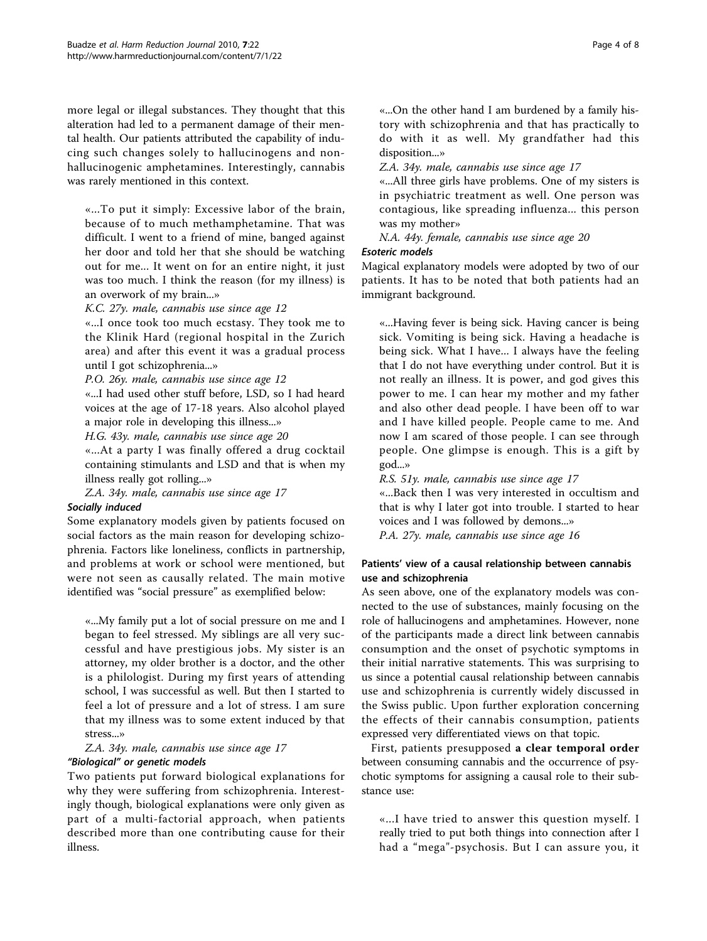more legal or illegal substances. They thought that this alteration had led to a permanent damage of their mental health. Our patients attributed the capability of inducing such changes solely to hallucinogens and nonhallucinogenic amphetamines. Interestingly, cannabis was rarely mentioned in this context.

«...To put it simply: Excessive labor of the brain, because of to much methamphetamine. That was difficult. I went to a friend of mine, banged against her door and told her that she should be watching out for me... It went on for an entire night, it just was too much. I think the reason (for my illness) is an overwork of my brain...»

K.C. 27y. male, cannabis use since age 12

«...I once took too much ecstasy. They took me to the Klinik Hard (regional hospital in the Zurich area) and after this event it was a gradual process until I got schizophrenia...»

P.O. 26y. male, cannabis use since age 12

«...I had used other stuff before, LSD, so I had heard voices at the age of 17-18 years. Also alcohol played a major role in developing this illness...»

H.G. 43y. male, cannabis use since age 20

«...At a party I was finally offered a drug cocktail containing stimulants and LSD and that is when my illness really got rolling...»

Z.A. 34y. male, cannabis use since age 17

# Socially induced

Some explanatory models given by patients focused on social factors as the main reason for developing schizophrenia. Factors like loneliness, conflicts in partnership, and problems at work or school were mentioned, but were not seen as causally related. The main motive identified was "social pressure" as exemplified below:

«...My family put a lot of social pressure on me and I began to feel stressed. My siblings are all very successful and have prestigious jobs. My sister is an attorney, my older brother is a doctor, and the other is a philologist. During my first years of attending school, I was successful as well. But then I started to feel a lot of pressure and a lot of stress. I am sure that my illness was to some extent induced by that stress...»

Z.A. 34y. male, cannabis use since age 17

# "Biological" or genetic models

Two patients put forward biological explanations for why they were suffering from schizophrenia. Interestingly though, biological explanations were only given as part of a multi-factorial approach, when patients described more than one contributing cause for their illness.

«...On the other hand I am burdened by a family history with schizophrenia and that has practically to do with it as well. My grandfather had this disposition...»

Z.A. 34y. male, cannabis use since age 17

«...All three girls have problems. One of my sisters is in psychiatric treatment as well. One person was contagious, like spreading influenza... this person was my mother»

N.A. 44y. female, cannabis use since age 20

# Esoteric models

Magical explanatory models were adopted by two of our patients. It has to be noted that both patients had an immigrant background.

«...Having fever is being sick. Having cancer is being sick. Vomiting is being sick. Having a headache is being sick. What I have... I always have the feeling that I do not have everything under control. But it is not really an illness. It is power, and god gives this power to me. I can hear my mother and my father and also other dead people. I have been off to war and I have killed people. People came to me. And now I am scared of those people. I can see through people. One glimpse is enough. This is a gift by god...»

R.S. 51y. male, cannabis use since age 17

«...Back then I was very interested in occultism and that is why I later got into trouble. I started to hear voices and I was followed by demons...»

P.A. 27y. male, cannabis use since age 16

# Patients' view of a causal relationship between cannabis use and schizophrenia

As seen above, one of the explanatory models was connected to the use of substances, mainly focusing on the role of hallucinogens and amphetamines. However, none of the participants made a direct link between cannabis consumption and the onset of psychotic symptoms in their initial narrative statements. This was surprising to us since a potential causal relationship between cannabis use and schizophrenia is currently widely discussed in the Swiss public. Upon further exploration concerning the effects of their cannabis consumption, patients expressed very differentiated views on that topic.

First, patients presupposed a clear temporal order between consuming cannabis and the occurrence of psychotic symptoms for assigning a causal role to their substance use:

«...I have tried to answer this question myself. I really tried to put both things into connection after I had a "mega"-psychosis. But I can assure you, it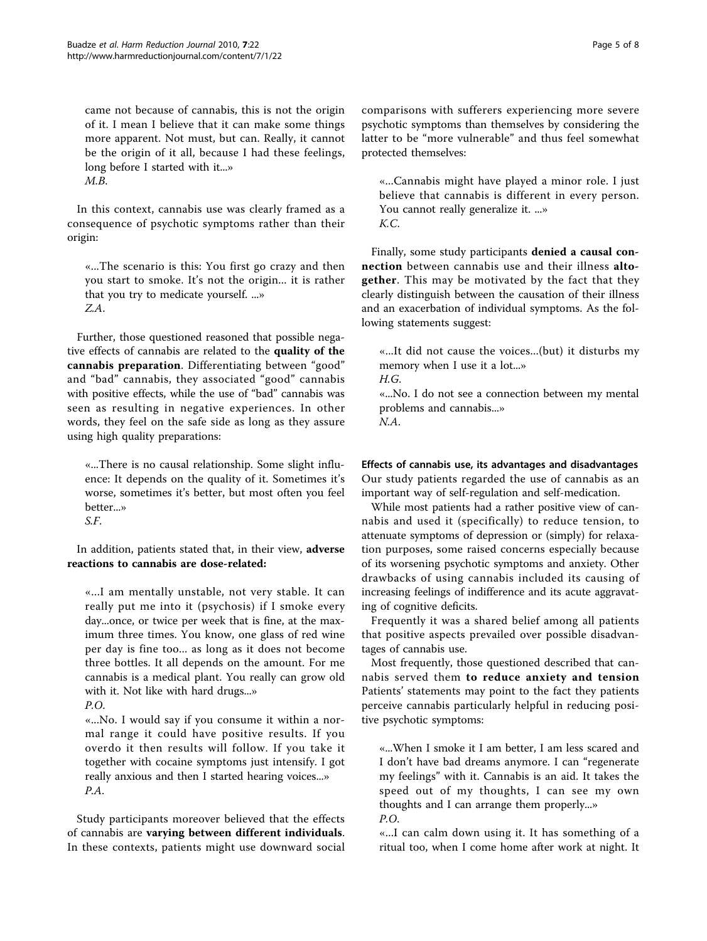came not because of cannabis, this is not the origin of it. I mean I believe that it can make some things more apparent. Not must, but can. Really, it cannot be the origin of it all, because I had these feelings, long before I started with it...» M.B.

In this context, cannabis use was clearly framed as a consequence of psychotic symptoms rather than their origin:

«...The scenario is this: You first go crazy and then you start to smoke. It's not the origin... it is rather that you try to medicate yourself. ...» Z.A.

Further, those questioned reasoned that possible negative effects of cannabis are related to the quality of the cannabis preparation. Differentiating between "good" and "bad" cannabis, they associated "good" cannabis with positive effects, while the use of "bad" cannabis was seen as resulting in negative experiences. In other words, they feel on the safe side as long as they assure using high quality preparations:

«...There is no causal relationship. Some slight influence: It depends on the quality of it. Sometimes it's worse, sometimes it's better, but most often you feel better...»

S.F.

In addition, patients stated that, in their view, adverse reactions to cannabis are dose-related:

«...I am mentally unstable, not very stable. It can really put me into it (psychosis) if I smoke every day...once, or twice per week that is fine, at the maximum three times. You know, one glass of red wine per day is fine too... as long as it does not become three bottles. It all depends on the amount. For me cannabis is a medical plant. You really can grow old with it. Not like with hard drugs...»

P.O.

«...No. I would say if you consume it within a normal range it could have positive results. If you overdo it then results will follow. If you take it together with cocaine symptoms just intensify. I got really anxious and then I started hearing voices...» P.A.

Study participants moreover believed that the effects of cannabis are varying between different individuals. In these contexts, patients might use downward social comparisons with sufferers experiencing more severe psychotic symptoms than themselves by considering the latter to be "more vulnerable" and thus feel somewhat protected themselves:

«...Cannabis might have played a minor role. I just believe that cannabis is different in every person. You cannot really generalize it. ...» K.C.

Finally, some study participants denied a causal connection between cannabis use and their illness alto**gether**. This may be motivated by the fact that they clearly distinguish between the causation of their illness and an exacerbation of individual symptoms. As the following statements suggest:

«...It did not cause the voices...(but) it disturbs my memory when I use it a lot...» H.G.

«...No. I do not see a connection between my mental problems and cannabis...» N.A.

Effects of cannabis use, its advantages and disadvantages Our study patients regarded the use of cannabis as an important way of self-regulation and self-medication.

While most patients had a rather positive view of cannabis and used it (specifically) to reduce tension, to attenuate symptoms of depression or (simply) for relaxation purposes, some raised concerns especially because of its worsening psychotic symptoms and anxiety. Other drawbacks of using cannabis included its causing of increasing feelings of indifference and its acute aggravating of cognitive deficits.

Frequently it was a shared belief among all patients that positive aspects prevailed over possible disadvantages of cannabis use.

Most frequently, those questioned described that cannabis served them to reduce anxiety and tension Patients' statements may point to the fact they patients perceive cannabis particularly helpful in reducing positive psychotic symptoms:

«...When I smoke it I am better, I am less scared and I don't have bad dreams anymore. I can "regenerate my feelings" with it. Cannabis is an aid. It takes the speed out of my thoughts, I can see my own thoughts and I can arrange them properly...» P.O.

«...I can calm down using it. It has something of a ritual too, when I come home after work at night. It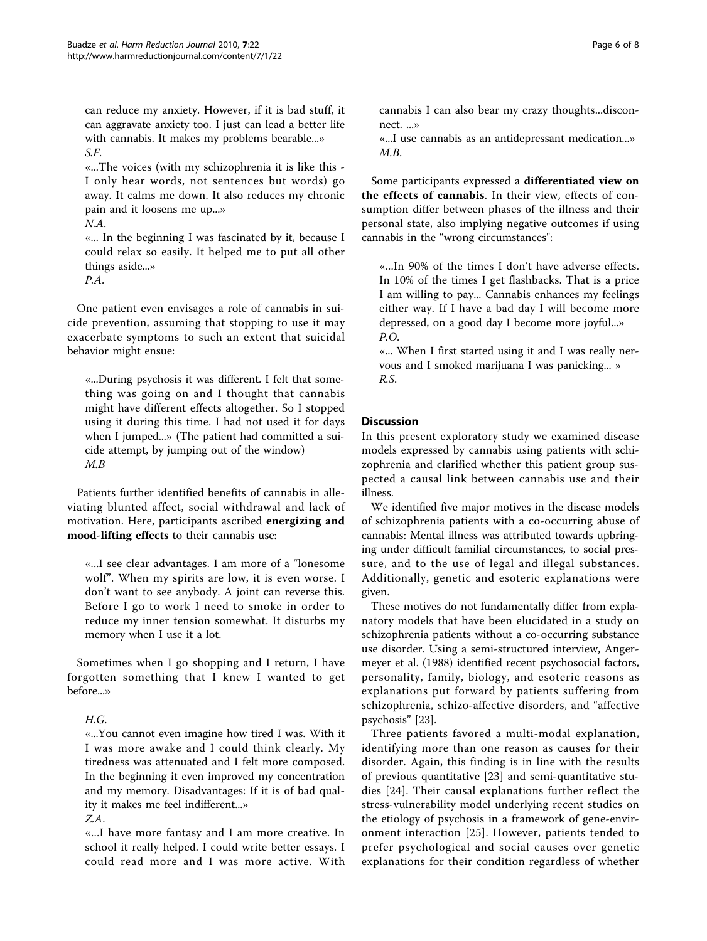can reduce my anxiety. However, if it is bad stuff, it can aggravate anxiety too. I just can lead a better life with cannabis. It makes my problems bearable...» S.F.

«...The voices (with my schizophrenia it is like this - I only hear words, not sentences but words) go away. It calms me down. It also reduces my chronic pain and it loosens me up...» N.A.

«... In the beginning I was fascinated by it, because I could relax so easily. It helped me to put all other things aside...»

P.A.

One patient even envisages a role of cannabis in suicide prevention, assuming that stopping to use it may exacerbate symptoms to such an extent that suicidal behavior might ensue:

«...During psychosis it was different. I felt that something was going on and I thought that cannabis might have different effects altogether. So I stopped using it during this time. I had not used it for days when I jumped...» (The patient had committed a suicide attempt, by jumping out of the window) M<sub>R</sub>

Patients further identified benefits of cannabis in alleviating blunted affect, social withdrawal and lack of motivation. Here, participants ascribed energizing and mood-lifting effects to their cannabis use:

«...I see clear advantages. I am more of a "lonesome wolf". When my spirits are low, it is even worse. I don't want to see anybody. A joint can reverse this. Before I go to work I need to smoke in order to reduce my inner tension somewhat. It disturbs my memory when I use it a lot.

Sometimes when I go shopping and I return, I have forgotten something that I knew I wanted to get before...»

# H.G.

«...You cannot even imagine how tired I was. With it I was more awake and I could think clearly. My tiredness was attenuated and I felt more composed. In the beginning it even improved my concentration and my memory. Disadvantages: If it is of bad quality it makes me feel indifferent...»

Z.A.

«...I have more fantasy and I am more creative. In school it really helped. I could write better essays. I could read more and I was more active. With cannabis I can also bear my crazy thoughts...disconnect. ...»

«...I use cannabis as an antidepressant medication...» M.B.

Some participants expressed a differentiated view on the effects of cannabis. In their view, effects of consumption differ between phases of the illness and their personal state, also implying negative outcomes if using cannabis in the "wrong circumstances":

«...In 90% of the times I don't have adverse effects. In 10% of the times I get flashbacks. That is a price I am willing to pay... Cannabis enhances my feelings either way. If I have a bad day I will become more depressed, on a good day I become more joyful...» P.O.

«... When I first started using it and I was really nervous and I smoked marijuana I was panicking... » R.S.

# **Discussion**

In this present exploratory study we examined disease models expressed by cannabis using patients with schizophrenia and clarified whether this patient group suspected a causal link between cannabis use and their illness.

We identified five major motives in the disease models of schizophrenia patients with a co-occurring abuse of cannabis: Mental illness was attributed towards upbringing under difficult familial circumstances, to social pressure, and to the use of legal and illegal substances. Additionally, genetic and esoteric explanations were given.

These motives do not fundamentally differ from explanatory models that have been elucidated in a study on schizophrenia patients without a co-occurring substance use disorder. Using a semi-structured interview, Angermeyer et al. (1988) identified recent psychosocial factors, personality, family, biology, and esoteric reasons as explanations put forward by patients suffering from schizophrenia, schizo-affective disorders, and "affective psychosis" [[23\]](#page-7-0).

Three patients favored a multi-modal explanation, identifying more than one reason as causes for their disorder. Again, this finding is in line with the results of previous quantitative [\[23](#page-7-0)] and semi-quantitative studies [\[24\]](#page-7-0). Their causal explanations further reflect the stress-vulnerability model underlying recent studies on the etiology of psychosis in a framework of gene-environment interaction [\[25\]](#page-7-0). However, patients tended to prefer psychological and social causes over genetic explanations for their condition regardless of whether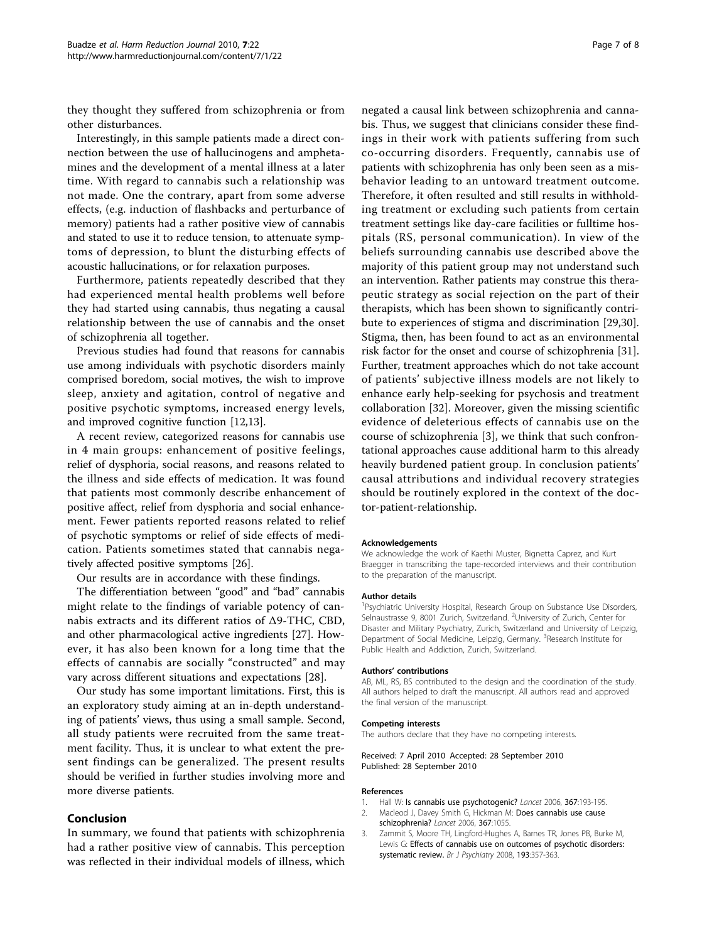<span id="page-6-0"></span>they thought they suffered from schizophrenia or from other disturbances.

Interestingly, in this sample patients made a direct connection between the use of hallucinogens and amphetamines and the development of a mental illness at a later time. With regard to cannabis such a relationship was not made. One the contrary, apart from some adverse effects, (e.g. induction of flashbacks and perturbance of memory) patients had a rather positive view of cannabis and stated to use it to reduce tension, to attenuate symptoms of depression, to blunt the disturbing effects of acoustic hallucinations, or for relaxation purposes.

Furthermore, patients repeatedly described that they had experienced mental health problems well before they had started using cannabis, thus negating a causal relationship between the use of cannabis and the onset of schizophrenia all together.

Previous studies had found that reasons for cannabis use among individuals with psychotic disorders mainly comprised boredom, social motives, the wish to improve sleep, anxiety and agitation, control of negative and positive psychotic symptoms, increased energy levels, and improved cognitive function [\[12,13\]](#page-7-0).

A recent review, categorized reasons for cannabis use in 4 main groups: enhancement of positive feelings, relief of dysphoria, social reasons, and reasons related to the illness and side effects of medication. It was found that patients most commonly describe enhancement of positive affect, relief from dysphoria and social enhancement. Fewer patients reported reasons related to relief of psychotic symptoms or relief of side effects of medication. Patients sometimes stated that cannabis negatively affected positive symptoms [[26](#page-7-0)].

Our results are in accordance with these findings.

The differentiation between "good" and "bad" cannabis might relate to the findings of variable potency of cannabis extracts and its different ratios of Δ9-THC, CBD, and other pharmacological active ingredients [[27\]](#page-7-0). However, it has also been known for a long time that the effects of cannabis are socially "constructed" and may vary across different situations and expectations [\[28\]](#page-7-0).

Our study has some important limitations. First, this is an exploratory study aiming at an in-depth understanding of patients' views, thus using a small sample. Second, all study patients were recruited from the same treatment facility. Thus, it is unclear to what extent the present findings can be generalized. The present results should be verified in further studies involving more and more diverse patients.

### Conclusion

In summary, we found that patients with schizophrenia had a rather positive view of cannabis. This perception was reflected in their individual models of illness, which

negated a causal link between schizophrenia and cannabis. Thus, we suggest that clinicians consider these findings in their work with patients suffering from such co-occurring disorders. Frequently, cannabis use of patients with schizophrenia has only been seen as a misbehavior leading to an untoward treatment outcome. Therefore, it often resulted and still results in withholding treatment or excluding such patients from certain treatment settings like day-care facilities or fulltime hospitals (RS, personal communication). In view of the beliefs surrounding cannabis use described above the majority of this patient group may not understand such an intervention. Rather patients may construe this therapeutic strategy as social rejection on the part of their therapists, which has been shown to significantly contribute to experiences of stigma and discrimination [\[29,30](#page-7-0)]. Stigma, then, has been found to act as an environmental risk factor for the onset and course of schizophrenia [[31](#page-7-0)]. Further, treatment approaches which do not take account

of patients' subjective illness models are not likely to enhance early help-seeking for psychosis and treatment collaboration [[32\]](#page-7-0). Moreover, given the missing scientific evidence of deleterious effects of cannabis use on the course of schizophrenia [3], we think that such confrontational approaches cause additional harm to this already heavily burdened patient group. In conclusion patients' causal attributions and individual recovery strategies should be routinely explored in the context of the doctor-patient-relationship.

#### Acknowledgements

We acknowledge the work of Kaethi Muster, Bignetta Caprez, and Kurt Braegger in transcribing the tape-recorded interviews and their contribution to the preparation of the manuscript.

#### Author details

<sup>1</sup>Psychiatric University Hospital, Research Group on Substance Use Disorders Selnaustrasse 9, 8001 Zurich, Switzerland. <sup>2</sup>University of Zurich, Center for Disaster and Military Psychiatry, Zurich, Switzerland and University of Leipzig, Department of Social Medicine, Leipzig, Germany. <sup>3</sup>Research Institute for Public Health and Addiction, Zurich, Switzerland.

#### Authors' contributions

AB, ML, RS, BS contributed to the design and the coordination of the study. All authors helped to draft the manuscript. All authors read and approved the final version of the manuscript.

#### Competing interests

The authors declare that they have no competing interests.

#### Received: 7 April 2010 Accepted: 28 September 2010 Published: 28 September 2010

#### References

- Hall W: [Is cannabis use psychotogenic?](http://www.ncbi.nlm.nih.gov/pubmed/16427475?dopt=Abstract) Lancet 2006, 367:193-195.
- 2. Macleod J, Davey Smith G, Hickman M: [Does cannabis use cause](http://www.ncbi.nlm.nih.gov/pubmed/16581402?dopt=Abstract) [schizophrenia?](http://www.ncbi.nlm.nih.gov/pubmed/16581402?dopt=Abstract) Lancet 2006, 367:1055.
- 3. Zammit S, Moore TH, Lingford-Hughes A, Barnes TR, Jones PB, Burke M, Lewis G: [Effects of cannabis use on outcomes of psychotic disorders:](http://www.ncbi.nlm.nih.gov/pubmed/18978312?dopt=Abstract) [systematic review.](http://www.ncbi.nlm.nih.gov/pubmed/18978312?dopt=Abstract) Br J Psychiatry 2008, 193:357-363.